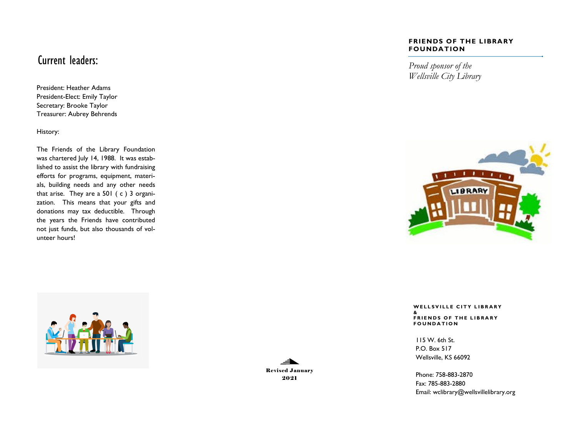### Current leaders:

President: Heather Adams President-Elect: Emily Taylor Secretary: Brooke Taylor Treasurer: Aubrey Behrends

History:

The Friends of the Library Foundation was chartered July 14, 1988. It was established to assist the library with fundraising efforts for programs, equipment, materials, building needs and any other needs that arise. They are a 501 ( c ) 3 organization. This means that your gifts and donations may tax deductible. Through the years the Friends have contributed not just funds, but also thousands of volunteer hours!





#### **FRIENDS OF THE LIBRARY FOUNDATION**

*Proud sponsor of the Wellsville City Library*



**W E L L S V I L L E C I T Y L I B R A R Y & F R I E N D S O F T H E L I B R A R Y F O U N D A T I O N**

115 W. 6th St. P.O. Box 517 Wellsville, KS 66092

Phone: 758-883-2870 Fax: 785-883-2880 Email: wclibrary@wellsvillelibrary.org